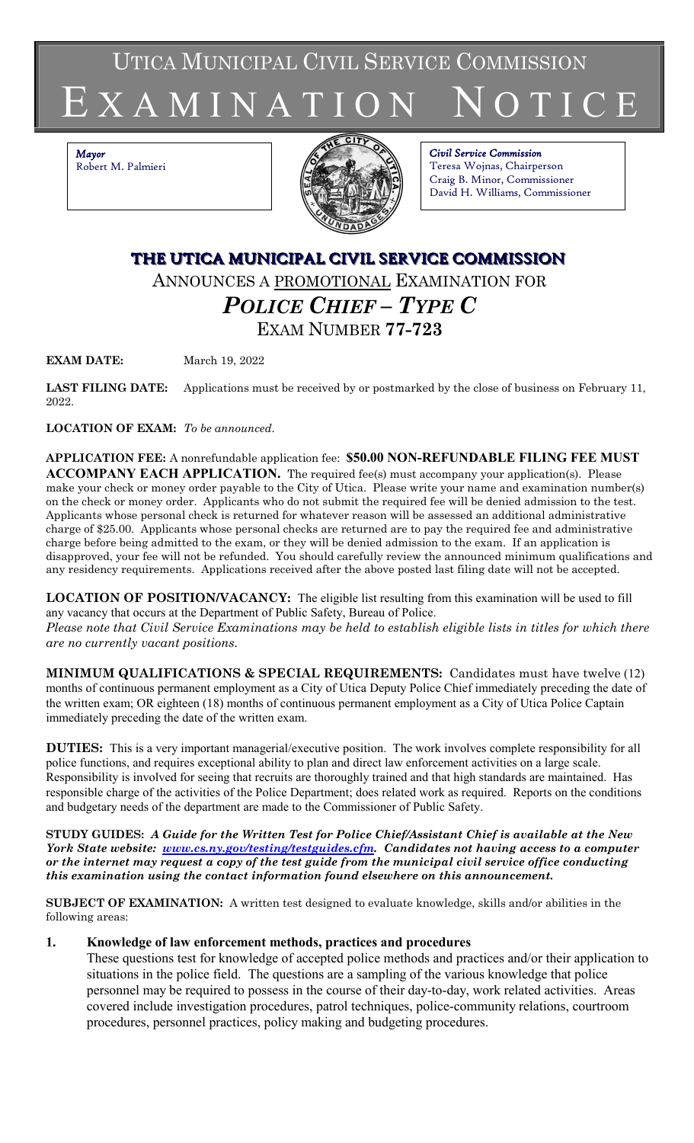UTICA MUNICIPAL CIVIL SERVICE COMMISSION

# E X A M I N A T I O N N O T I C E

*Mayor* Robert M. Palmieri



*Civil Service Commission* Teresa Wojnas, Chairperson Craig B. Minor, Commissioner David H. Williams, Commissioner

# **THE UTICA MUNICIPAL CIVIL SERVICE COMMISSION** ANNOUNCES A PROMOTIONAL EXAMINATION FOR *POLICE CHIEF – TYPE C* EXAM NUMBER **77-723**

**EXAM DATE:** March 19, 2022

**LAST FILING DATE:** Applications must be received by or postmarked by the close of business on February 11, 2022.

**LOCATION OF EXAM:** *To be announced*.

**APPLICATION FEE:** A nonrefundable application fee: **\$50.00 NON-REFUNDABLE FILING FEE MUST ACCOMPANY EACH APPLICATION.** The required fee(s) must accompany your application(s). Please make your check or money order payable to the City of Utica. Please write your name and examination number(s) on the check or money order. Applicants who do not submit the required fee will be denied admission to the test. Applicants whose personal check is returned for whatever reason will be assessed an additional administrative charge of \$25.00. Applicants whose personal checks are returned are to pay the required fee and administrative charge before being admitted to the exam, or they will be denied admission to the exam. If an application is disapproved, your fee will not be refunded. You should carefully review the announced minimum qualifications and any residency requirements. Applications received after the above posted last filing date will not be accepted.

**LOCATION OF POSITION/VACANCY:** The eligible list resulting from this examination will be used to fill any vacancy that occurs at the Department of Public Safety, Bureau of Police.

*Please note that Civil Service Examinations may be held to establish eligible lists in titles for which there are no currently vacant positions.*

**MINIMUM QUALIFICATIONS & SPECIAL REQUIREMENTS:** Candidates must have twelve (12) months of continuous permanent employment as a City of Utica Deputy Police Chief immediately preceding the date of the written exam; OR eighteen (18) months of continuous permanent employment as a City of Utica Police Captain immediately preceding the date of the written exam.

**DUTIES:** This is a very important managerial/executive position. The work involves complete responsibility for all police functions, and requires exceptional ability to plan and direct law enforcement activities on a large scale. Responsibility is involved for seeing that recruits are thoroughly trained and that high standards are maintained. Has responsible charge of the activities of the Police Department; does related work as required. Reports on the conditions and budgetary needs of the department are made to the Commissioner of Public Safety.

**STUDY GUIDES:** *A Guide for the Written Test for Police Chief/Assistant Chief is available at the New York State website: [www.cs.ny.gov/testing/testguides.cfm.](http://www.cs.ny.gov/testing/testguides.cfm) Candidates not having access to a computer or the internet may request a copy of the test guide from the municipal civil service office conducting this examination using the contact information found elsewhere on this announcement.* 

**SUBJECT OF EXAMINATION:** A written test designed to evaluate knowledge, skills and/or abilities in the following areas:

# **1. Knowledge of law enforcement methods, practices and procedures**

These questions test for knowledge of accepted police methods and practices and/or their application to situations in the police field. The questions are a sampling of the various knowledge that police personnel may be required to possess in the course of their day-to-day, work related activities. Areas covered include investigation procedures, patrol techniques, police-community relations, courtroom procedures, personnel practices, policy making and budgeting procedures.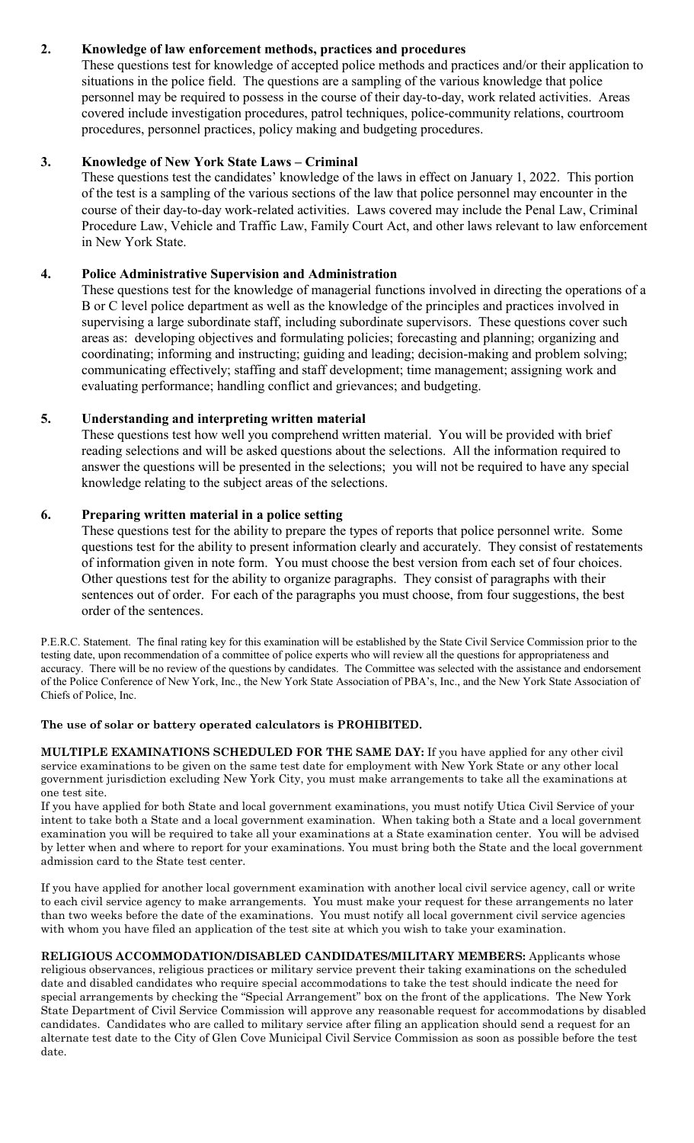# **2. Knowledge of law enforcement methods, practices and procedures**

These questions test for knowledge of accepted police methods and practices and/or their application to situations in the police field. The questions are a sampling of the various knowledge that police personnel may be required to possess in the course of their day-to-day, work related activities. Areas covered include investigation procedures, patrol techniques, police-community relations, courtroom procedures, personnel practices, policy making and budgeting procedures.

#### **3. Knowledge of New York State Laws – Criminal**

These questions test the candidates' knowledge of the laws in effect on January 1, 2022. This portion of the test is a sampling of the various sections of the law that police personnel may encounter in the course of their day-to-day work-related activities. Laws covered may include the Penal Law, Criminal Procedure Law, Vehicle and Traffic Law, Family Court Act, and other laws relevant to law enforcement in New York State.

## **4. Police Administrative Supervision and Administration**

These questions test for the knowledge of managerial functions involved in directing the operations of a B or C level police department as well as the knowledge of the principles and practices involved in supervising a large subordinate staff, including subordinate supervisors. These questions cover such areas as: developing objectives and formulating policies; forecasting and planning; organizing and coordinating; informing and instructing; guiding and leading; decision-making and problem solving; communicating effectively; staffing and staff development; time management; assigning work and evaluating performance; handling conflict and grievances; and budgeting.

## **5. Understanding and interpreting written material**

These questions test how well you comprehend written material. You will be provided with brief reading selections and will be asked questions about the selections. All the information required to answer the questions will be presented in the selections; you will not be required to have any special knowledge relating to the subject areas of the selections.

#### **6. Preparing written material in a police setting**

These questions test for the ability to prepare the types of reports that police personnel write. Some questions test for the ability to present information clearly and accurately. They consist of restatements of information given in note form. You must choose the best version from each set of four choices. Other questions test for the ability to organize paragraphs. They consist of paragraphs with their sentences out of order. For each of the paragraphs you must choose, from four suggestions, the best order of the sentences.

P.E.R.C. Statement. The final rating key for this examination will be established by the State Civil Service Commission prior to the testing date, upon recommendation of a committee of police experts who will review all the questions for appropriateness and accuracy. There will be no review of the questions by candidates. The Committee was selected with the assistance and endorsement of the Police Conference of New York, Inc., the New York State Association of PBA's, Inc., and the New York State Association of Chiefs of Police, Inc.

#### **The use of solar or battery operated calculators is PROHIBITED.**

**MULTIPLE EXAMINATIONS SCHEDULED FOR THE SAME DAY:** If you have applied for any other civil service examinations to be given on the same test date for employment with New York State or any other local government jurisdiction excluding New York City, you must make arrangements to take all the examinations at one test site.

If you have applied for both State and local government examinations, you must notify Utica Civil Service of your intent to take both a State and a local government examination. When taking both a State and a local government examination you will be required to take all your examinations at a State examination center. You will be advised by letter when and where to report for your examinations. You must bring both the State and the local government admission card to the State test center.

If you have applied for another local government examination with another local civil service agency, call or write to each civil service agency to make arrangements. You must make your request for these arrangements no later than two weeks before the date of the examinations. You must notify all local government civil service agencies with whom you have filed an application of the test site at which you wish to take your examination.

**RELIGIOUS ACCOMMODATION/DISABLED CANDIDATES/MILITARY MEMBERS:** Applicants whose religious observances, religious practices or military service prevent their taking examinations on the scheduled date and disabled candidates who require special accommodations to take the test should indicate the need for special arrangements by checking the "Special Arrangement" box on the front of the applications. The New York State Department of Civil Service Commission will approve any reasonable request for accommodations by disabled candidates. Candidates who are called to military service after filing an application should send a request for an alternate test date to the City of Glen Cove Municipal Civil Service Commission as soon as possible before the test date.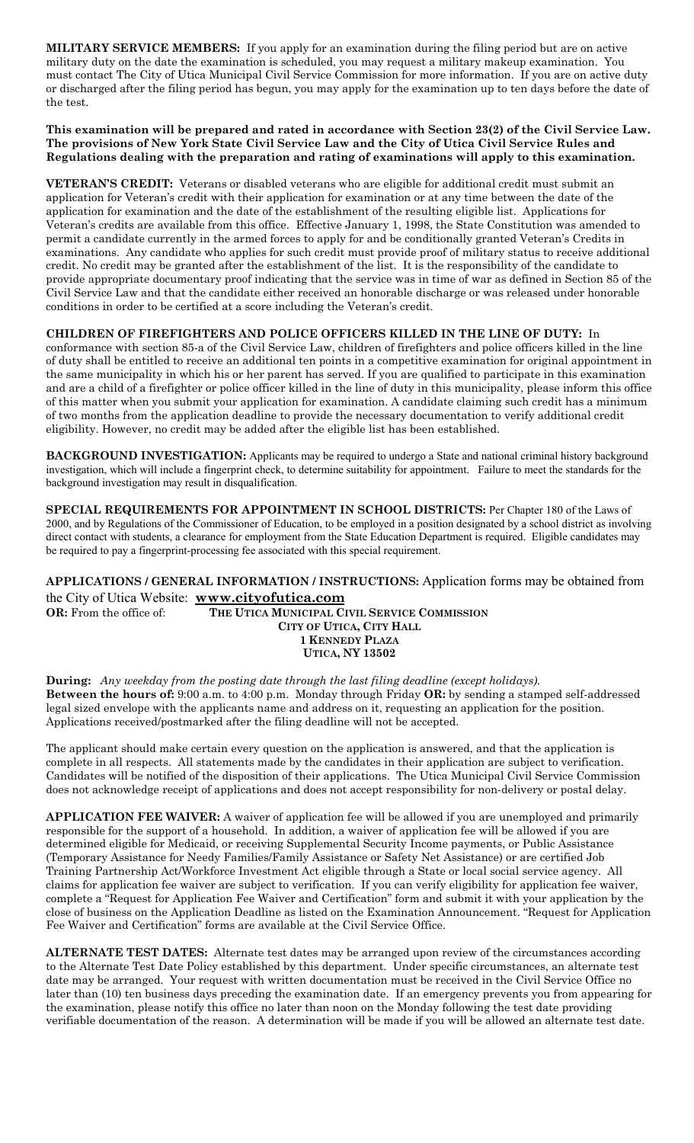**MILITARY SERVICE MEMBERS:** If you apply for an examination during the filing period but are on active military duty on the date the examination is scheduled, you may request a military makeup examination. You must contact The City of Utica Municipal Civil Service Commission for more information. If you are on active duty or discharged after the filing period has begun, you may apply for the examination up to ten days before the date of the test.

#### **This examination will be prepared and rated in accordance with Section 23(2) of the Civil Service Law. The provisions of New York State Civil Service Law and the City of Utica Civil Service Rules and Regulations dealing with the preparation and rating of examinations will apply to this examination.**

**VETERAN'S CREDIT:** Veterans or disabled veterans who are eligible for additional credit must submit an application for Veteran's credit with their application for examination or at any time between the date of the application for examination and the date of the establishment of the resulting eligible list. Applications for Veteran's credits are available from this office. Effective January 1, 1998, the State Constitution was amended to permit a candidate currently in the armed forces to apply for and be conditionally granted Veteran's Credits in examinations. Any candidate who applies for such credit must provide proof of military status to receive additional credit. No credit may be granted after the establishment of the list. It is the responsibility of the candidate to provide appropriate documentary proof indicating that the service was in time of war as defined in Section 85 of the Civil Service Law and that the candidate either received an honorable discharge or was released under honorable conditions in order to be certified at a score including the Veteran's credit.

#### **CHILDREN OF FIREFIGHTERS AND POLICE OFFICERS KILLED IN THE LINE OF DUTY:** In

conformance with section 85-a of the Civil Service Law, children of firefighters and police officers killed in the line of duty shall be entitled to receive an additional ten points in a competitive examination for original appointment in the same municipality in which his or her parent has served. If you are qualified to participate in this examination and are a child of a firefighter or police officer killed in the line of duty in this municipality, please inform this office of this matter when you submit your application for examination. A candidate claiming such credit has a minimum of two months from the application deadline to provide the necessary documentation to verify additional credit eligibility. However, no credit may be added after the eligible list has been established.

BACKGROUND INVESTIGATION: Applicants may be required to undergo a State and national criminal history background investigation, which will include a fingerprint check, to determine suitability for appointment. Failure to meet the standards for the background investigation may result in disqualification.

**SPECIAL REQUIREMENTS FOR APPOINTMENT IN SCHOOL DISTRICTS:** Per Chapter 180 of the Laws of 2000, and by Regulations of the Commissioner of Education, to be employed in a position designated by a school district as involving direct contact with students, a clearance for employment from the State Education Department is required. Eligible candidates may be required to pay a fingerprint-processing fee associated with this special requirement.

#### **APPLICATIONS / GENERAL INFORMATION / INSTRUCTIONS:** Application forms may be obtained from the City of Utica Website: **[www.cityofutica.com](http://www.cityofutica.com/) OR:** From the office of: **THE UTICA MUNICIPAL CIVIL SERVICE COMMISSION**

**CITY OF UTICA, CITY HALL 1 KENNEDY PLAZA UTICA, NY 13502**

**During:** *Any weekday from the posting date through the last filing deadline (except holidays).* **Between the hours of:** 9:00 a.m. to 4:00 p.m. Monday through Friday **OR:** by sending a stamped self-addressed legal sized envelope with the applicants name and address on it, requesting an application for the position. Applications received/postmarked after the filing deadline will not be accepted.

The applicant should make certain every question on the application is answered, and that the application is complete in all respects. All statements made by the candidates in their application are subject to verification. Candidates will be notified of the disposition of their applications. The Utica Municipal Civil Service Commission does not acknowledge receipt of applications and does not accept responsibility for non-delivery or postal delay.

**APPLICATION FEE WAIVER:** A waiver of application fee will be allowed if you are unemployed and primarily responsible for the support of a household. In addition, a waiver of application fee will be allowed if you are determined eligible for Medicaid, or receiving Supplemental Security Income payments, or Public Assistance (Temporary Assistance for Needy Families/Family Assistance or Safety Net Assistance) or are certified Job Training Partnership Act/Workforce Investment Act eligible through a State or local social service agency. All claims for application fee waiver are subject to verification. If you can verify eligibility for application fee waiver, complete a "Request for Application Fee Waiver and Certification" form and submit it with your application by the close of business on the Application Deadline as listed on the Examination Announcement. "Request for Application Fee Waiver and Certification" forms are available at the Civil Service Office.

**ALTERNATE TEST DATES:** Alternate test dates may be arranged upon review of the circumstances according to the Alternate Test Date Policy established by this department. Under specific circumstances, an alternate test date may be arranged. Your request with written documentation must be received in the Civil Service Office no later than (10) ten business days preceding the examination date. If an emergency prevents you from appearing for the examination, please notify this office no later than noon on the Monday following the test date providing verifiable documentation of the reason. A determination will be made if you will be allowed an alternate test date.